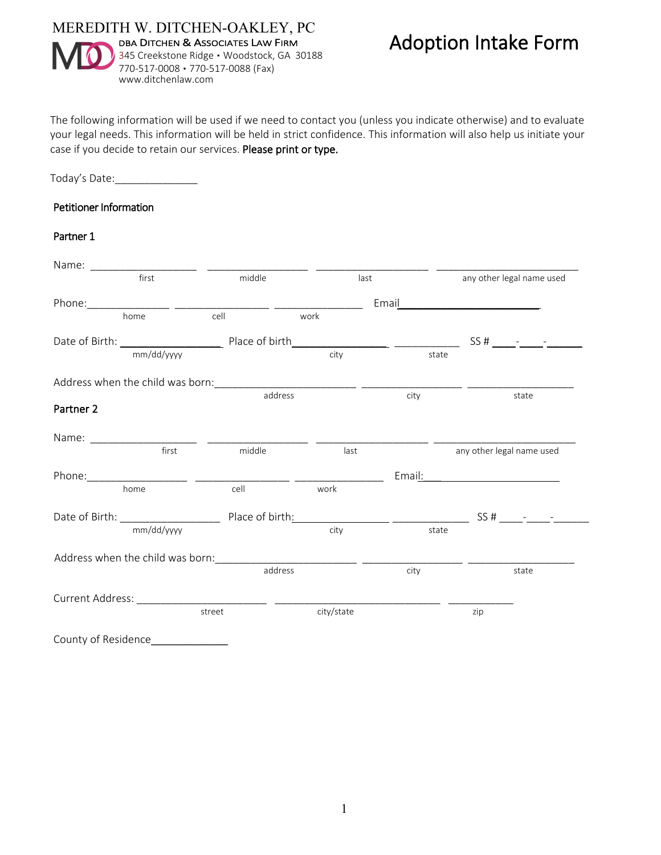

The following information will be used if we need to contact you (unless you indicate otherwise) and to evaluate your legal needs. This information will be held in strict confidence. This information will also help us initiate your case if you decide to retain our services. Please print or type.

### Today's Date:\_\_\_\_\_\_\_\_\_\_\_\_\_\_

#### Petitioner Information

# Partner 1

|                      | first      | middle |                    | last       |       | any other legal name used |                                                                                                               |  |
|----------------------|------------|--------|--------------------|------------|-------|---------------------------|---------------------------------------------------------------------------------------------------------------|--|
|                      |            |        | Email <b>Email</b> |            |       |                           |                                                                                                               |  |
|                      | home       | cell   | work               |            |       |                           |                                                                                                               |  |
|                      |            |        |                    |            |       |                           |                                                                                                               |  |
|                      | mm/dd/yyyy |        |                    | city       | state |                           |                                                                                                               |  |
|                      |            |        |                    |            |       |                           |                                                                                                               |  |
|                      |            |        | address            |            | city  |                           | state                                                                                                         |  |
| Partner <sub>2</sub> |            |        |                    |            |       |                           |                                                                                                               |  |
|                      |            |        |                    |            |       |                           |                                                                                                               |  |
|                      | first      | middle |                    | last       |       |                           | any other legal name used                                                                                     |  |
|                      |            |        |                    |            |       |                           | Email: 2008 2010 2010 2021 2022 2023 2024 2022 2022 2023 2024 2022 2023 2024 2022 2023 2024 2022 2023 2024 20 |  |
|                      | home       | cell   |                    | work       |       |                           |                                                                                                               |  |
|                      |            |        |                    |            |       |                           |                                                                                                               |  |
| mm/dd/yyyy           |            |        | city               |            | state |                           |                                                                                                               |  |
|                      |            |        |                    |            |       |                           |                                                                                                               |  |
|                      |            |        | address            |            | city  |                           | state                                                                                                         |  |
|                      |            |        |                    |            |       |                           |                                                                                                               |  |
|                      |            | street |                    | city/state |       | zip                       |                                                                                                               |  |
| County of Residence  |            |        |                    |            |       |                           |                                                                                                               |  |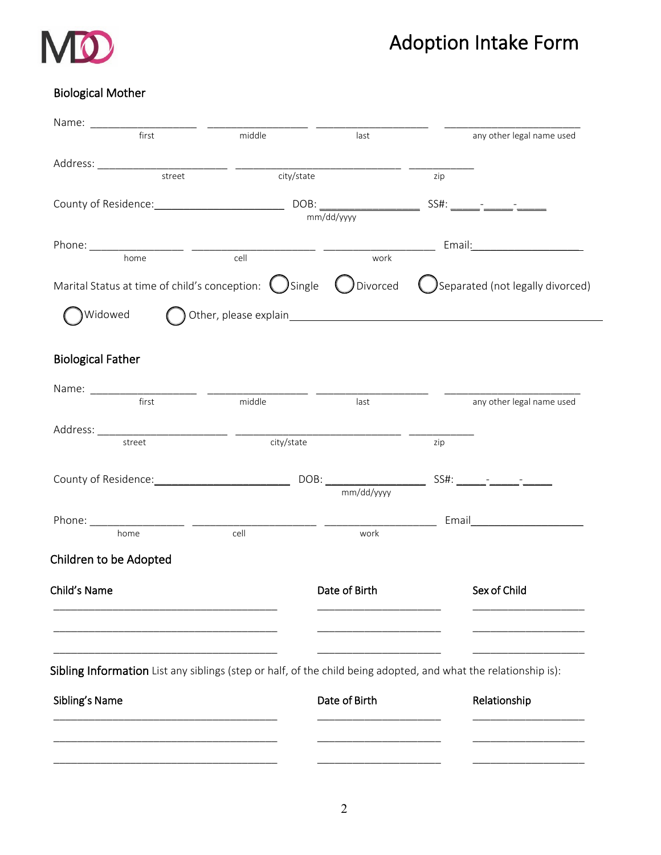

# Adoption Intake Form

# Biological Mother

| first                                                                                                           | middle                  | last                                      |              | any other legal name used        |
|-----------------------------------------------------------------------------------------------------------------|-------------------------|-------------------------------------------|--------------|----------------------------------|
|                                                                                                                 |                         |                                           |              |                                  |
| street                                                                                                          |                         | city/state                                | zip          |                                  |
|                                                                                                                 |                         | County of Residence: DOB: DOB: mm/dd/yyyy |              |                                  |
|                                                                                                                 |                         |                                           |              |                                  |
| home                                                                                                            | $\frac{1}{\text{cell}}$ | work                                      |              |                                  |
| Marital Status at time of child's conception: $\bigcup$ Single $\bigcup$ Divorced                               |                         |                                           |              | Separated (not legally divorced) |
| Widowed                                                                                                         |                         |                                           |              |                                  |
|                                                                                                                 |                         |                                           |              |                                  |
| <b>Biological Father</b>                                                                                        |                         |                                           |              |                                  |
|                                                                                                                 |                         |                                           |              |                                  |
| first                                                                                                           | middle                  | last                                      |              | any other legal name used        |
|                                                                                                                 |                         |                                           |              |                                  |
| street                                                                                                          | city/state              |                                           | zip          |                                  |
|                                                                                                                 |                         |                                           |              |                                  |
|                                                                                                                 |                         | mm/dd/yyyy                                |              |                                  |
|                                                                                                                 |                         |                                           |              |                                  |
| home                                                                                                            | cell                    | work                                      |              |                                  |
| Children to be Adopted                                                                                          |                         |                                           |              |                                  |
| Child's Name                                                                                                    |                         | Date of Birth                             |              | Sex of Child                     |
|                                                                                                                 |                         |                                           |              |                                  |
|                                                                                                                 |                         |                                           |              |                                  |
| Sibling Information List any siblings (step or half, of the child being adopted, and what the relationship is): |                         |                                           |              |                                  |
| Sibling's Name                                                                                                  | Date of Birth           |                                           | Relationship |                                  |
|                                                                                                                 |                         |                                           |              |                                  |
|                                                                                                                 |                         |                                           |              |                                  |
|                                                                                                                 |                         |                                           |              |                                  |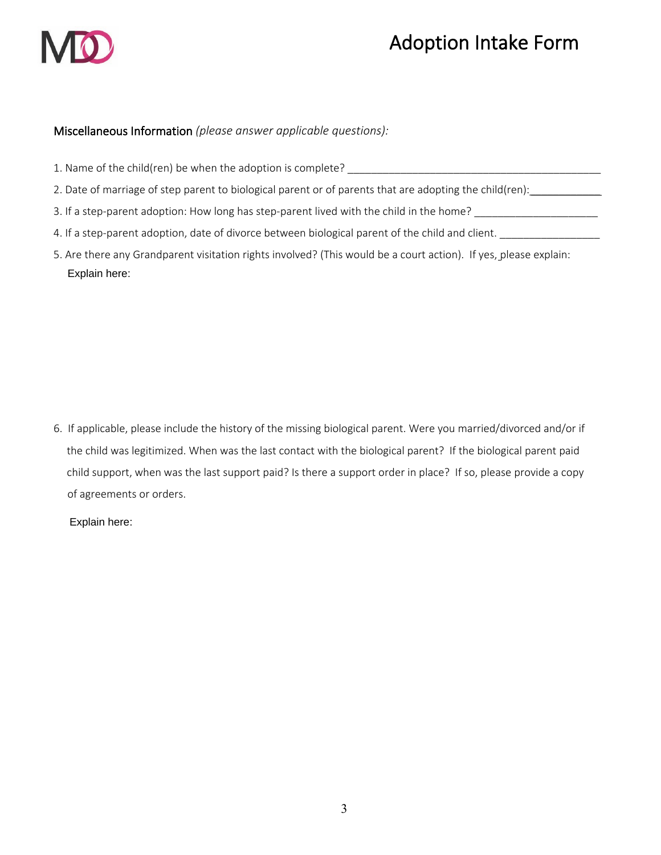

# Adoption Intake Form

# Miscellaneous Information *(please answer applicable questions):*

| 1. Name of the child(ren) be when the adoption is complete?                                                      |
|------------------------------------------------------------------------------------------------------------------|
| 2. Date of marriage of step parent to biological parent or of parents that are adopting the child(ren):          |
| 3. If a step-parent adoption: How long has step-parent lived with the child in the home?                         |
| 4. If a step-parent adoption, date of divorce between biological parent of the child and client.                 |
| 5. Are there any Grandparent visitation rights involved? (This would be a court action). If yes, please explain: |

6. If applicable, please include the history of the missing biological parent. Were you married/divorced and/or if the child was legitimized. When was the last contact with the biological parent? If the biological parent paid child support, when was the last support paid? Is there a support order in place? If so, please provide a copy of agreements or orders.

Explain here:

Explain here: